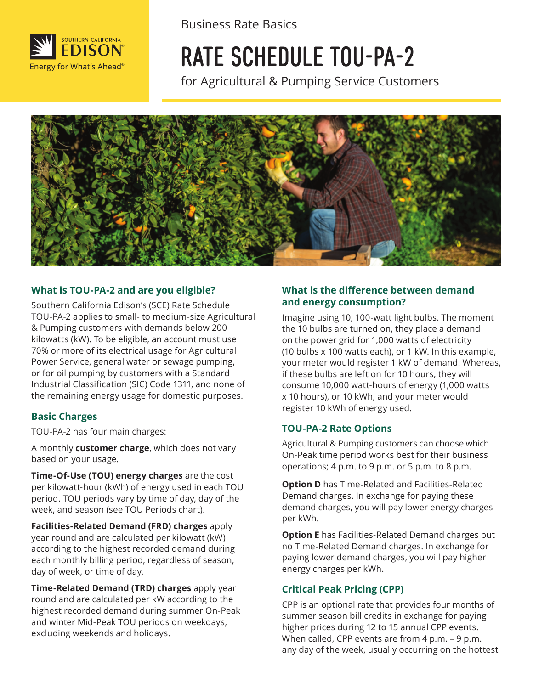

Business Rate Basics

# RATE SCHEDULE TOU-PA-2

for Agricultural & Pumping Service Customers



#### **What is TOU-PA-2 and are you eligible?**

Southern California Edison's (SCE) Rate Schedule TOU-PA-2 applies to small- to medium-size Agricultural & Pumping customers with demands below 200 kilowatts (kW). To be eligible, an account must use 70% or more of its electrical usage for Agricultural Power Service, general water or sewage pumping, or for oil pumping by customers with a Standard Industrial Classification (SIC) Code 1311, and none of the remaining energy usage for domestic purposes.

#### **Basic Charges**

TOU-PA-2 has four main charges:

A monthly **customer charge**, which does not vary based on your usage.

**Time-Of-Use (TOU) energy charges** are the cost per kilowatt-hour (kWh) of energy used in each TOU period. TOU periods vary by time of day, day of the week, and season (see TOU Periods chart).

**Facilities-Related Demand (FRD) charges** apply year round and are calculated per kilowatt (kW) according to the highest recorded demand during each monthly billing period, regardless of season, day of week, or time of day.

**Time-Related Demand (TRD) charges** apply year round and are calculated per kW according to the highest recorded demand during summer On-Peak and winter Mid-Peak TOU periods on weekdays, excluding weekends and holidays.

#### **What is the difference between demand and energy consumption?**

Imagine using 10, 100-watt light bulbs. The moment the 10 bulbs are turned on, they place a demand on the power grid for 1,000 watts of electricity (10 bulbs x 100 watts each), or 1 kW. In this example, your meter would register 1 kW of demand. Whereas, if these bulbs are left on for 10 hours, they will consume 10,000 watt-hours of energy (1,000 watts x 10 hours), or 10 kWh, and your meter would register 10 kWh of energy used.

#### **TOU-PA-2 Rate Options**

Agricultural & Pumping customers can choose which On-Peak time period works best for their business operations; 4 p.m. to 9 p.m. or 5 p.m. to 8 p.m.

**Option D** has Time-Related and Facilities-Related Demand charges. In exchange for paying these demand charges, you will pay lower energy charges per kWh.

**Option E** has Facilities-Related Demand charges but no Time-Related Demand charges. In exchange for paying lower demand charges, you will pay higher energy charges per kWh.

#### **Critical Peak Pricing (CPP)**

CPP is an optional rate that provides four months of summer season bill credits in exchange for paying higher prices during 12 to 15 annual CPP events. When called, CPP events are from 4 p.m. - 9 p.m. any day of the week, usually occurring on the hottest